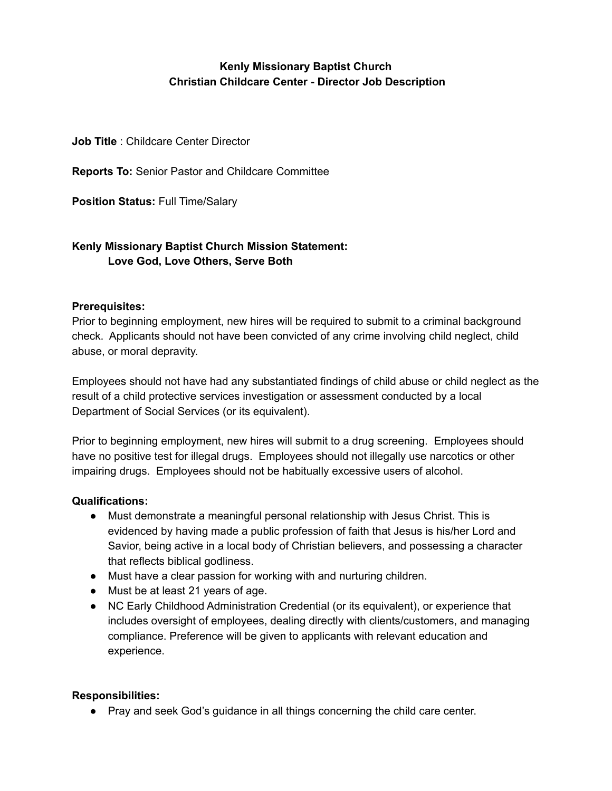# **Kenly Missionary Baptist Church Christian Childcare Center - Director Job Description**

**Job Title** : Childcare Center Director

**Reports To:** Senior Pastor and Childcare Committee

**Position Status:** Full Time/Salary

## **Kenly Missionary Baptist Church Mission Statement: Love God, Love Others, Serve Both**

## **Prerequisites:**

Prior to beginning employment, new hires will be required to submit to a criminal background check. Applicants should not have been convicted of any crime involving child neglect, child abuse, or moral depravity.

Employees should not have had any substantiated findings of child abuse or child neglect as the result of a child protective services investigation or assessment conducted by a local Department of Social Services (or its equivalent).

Prior to beginning employment, new hires will submit to a drug screening. Employees should have no positive test for illegal drugs. Employees should not illegally use narcotics or other impairing drugs. Employees should not be habitually excessive users of alcohol.

#### **Qualifications:**

- **●** Must demonstrate a meaningful personal relationship with Jesus Christ. This is evidenced by having made a public profession of faith that Jesus is his/her Lord and Savior, being active in a local body of Christian believers, and possessing a character that reflects biblical godliness.
- Must have a clear passion for working with and nurturing children.
- Must be at least 21 years of age.
- NC Early Childhood Administration Credential (or its equivalent), or experience that includes oversight of employees, dealing directly with clients/customers, and managing compliance. Preference will be given to applicants with relevant education and experience.

#### **Responsibilities:**

● Pray and seek God's guidance in all things concerning the child care center.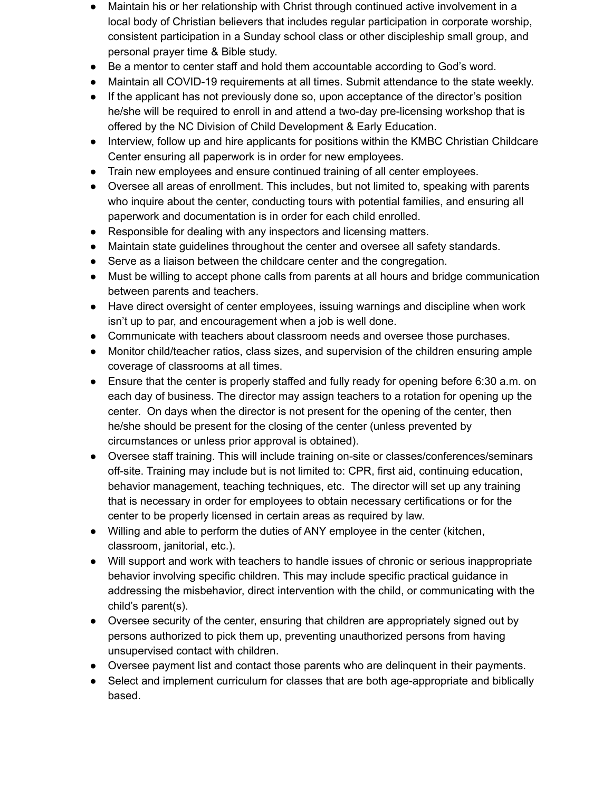- Maintain his or her relationship with Christ through continued active involvement in a local body of Christian believers that includes regular participation in corporate worship, consistent participation in a Sunday school class or other discipleship small group, and personal prayer time & Bible study.
- Be a mentor to center staff and hold them accountable according to God's word.
- Maintain all COVID-19 requirements at all times. Submit attendance to the state weekly.
- If the applicant has not previously done so, upon acceptance of the director's position he/she will be required to enroll in and attend a two-day pre-licensing workshop that is offered by the NC Division of Child Development & Early Education.
- Interview, follow up and hire applicants for positions within the KMBC Christian Childcare Center ensuring all paperwork is in order for new employees.
- Train new employees and ensure continued training of all center employees.
- Oversee all areas of enrollment. This includes, but not limited to, speaking with parents who inquire about the center, conducting tours with potential families, and ensuring all paperwork and documentation is in order for each child enrolled.
- Responsible for dealing with any inspectors and licensing matters.
- Maintain state guidelines throughout the center and oversee all safety standards.
- Serve as a liaison between the childcare center and the congregation.
- Must be willing to accept phone calls from parents at all hours and bridge communication between parents and teachers.
- Have direct oversight of center employees, issuing warnings and discipline when work isn't up to par, and encouragement when a job is well done.
- Communicate with teachers about classroom needs and oversee those purchases.
- Monitor child/teacher ratios, class sizes, and supervision of the children ensuring ample coverage of classrooms at all times.
- Ensure that the center is properly staffed and fully ready for opening before 6:30 a.m. on each day of business. The director may assign teachers to a rotation for opening up the center. On days when the director is not present for the opening of the center, then he/she should be present for the closing of the center (unless prevented by circumstances or unless prior approval is obtained).
- Oversee staff training. This will include training on-site or classes/conferences/seminars off-site. Training may include but is not limited to: CPR, first aid, continuing education, behavior management, teaching techniques, etc. The director will set up any training that is necessary in order for employees to obtain necessary certifications or for the center to be properly licensed in certain areas as required by law.
- Willing and able to perform the duties of ANY employee in the center (kitchen, classroom, janitorial, etc.).
- Will support and work with teachers to handle issues of chronic or serious inappropriate behavior involving specific children. This may include specific practical guidance in addressing the misbehavior, direct intervention with the child, or communicating with the child's parent(s).
- Oversee security of the center, ensuring that children are appropriately signed out by persons authorized to pick them up, preventing unauthorized persons from having unsupervised contact with children.
- Oversee payment list and contact those parents who are delinquent in their payments.
- Select and implement curriculum for classes that are both age-appropriate and biblically based.